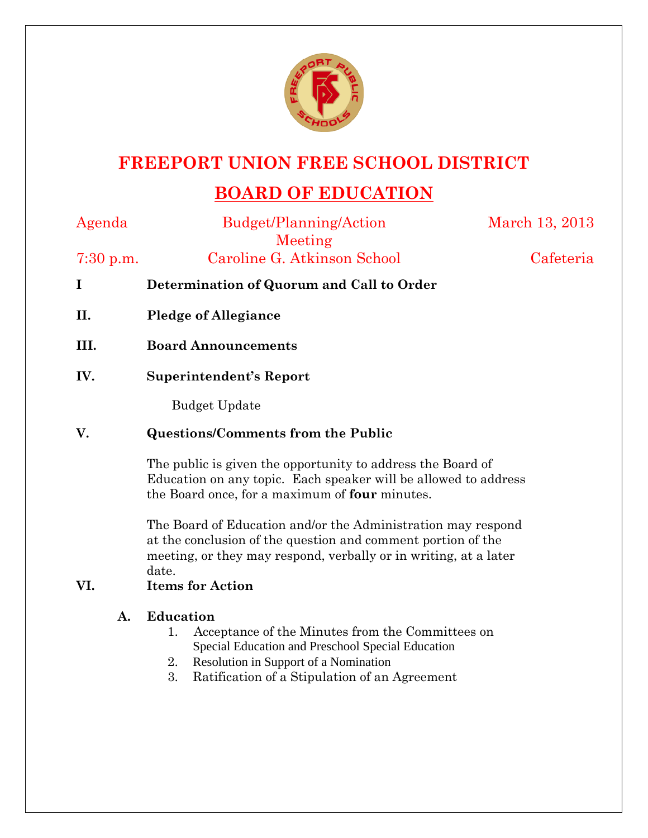

## **FREEPORT UNION FREE SCHOOL DISTRICT**

# **BOARD OF EDUCATION**

Agenda Budget/Planning/Action Meeting March 13, 2013 7:30 p.m. Caroline G. Atkinson School Cafeteria **I Determination of Quorum and Call to Order II. Pledge of Allegiance III. Board Announcements IV. Superintendent's Report**  Budget Update **V. Questions/Comments from the Public**  The public is given the opportunity to address the Board of Education on any topic. Each speaker will be allowed to address the Board once, for a maximum of **four** minutes. The Board of Education and/or the Administration may respond at the conclusion of the question and comment portion of the meeting, or they may respond, verbally or in writing, at a later date. **VI. Items for Action A. Education** 

- 1. Acceptance of the Minutes from the Committees on Special Education and Preschool Special Education
- 2. Resolution in Support of a Nomination
- 3. Ratification of a Stipulation of an Agreement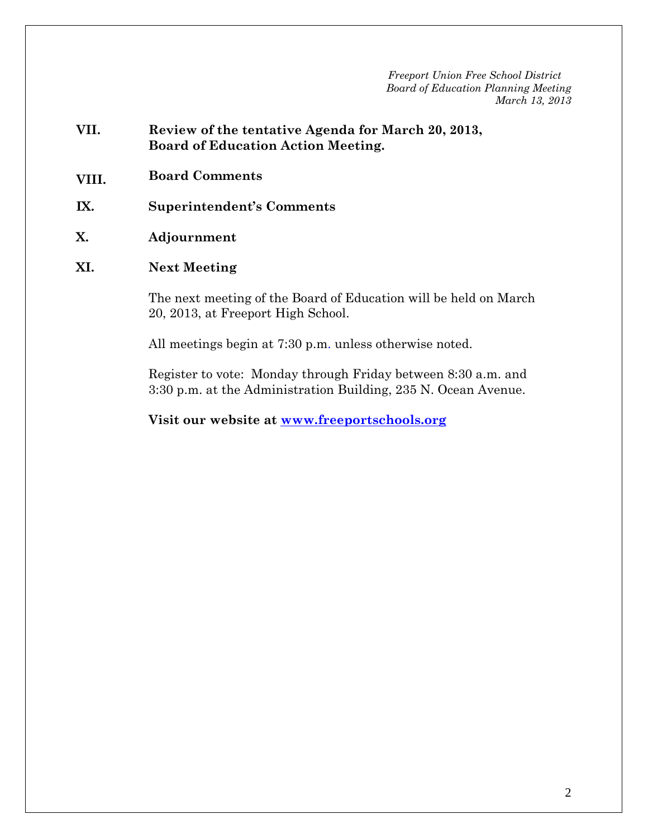- **VII. Review of the tentative Agenda for March 20, 2013, Board of Education Action Meeting.**
- **VIII. Board Comments**
- **IX. Superintendent's Comments**
- **X. Adjournment**

#### **XI. Next Meeting**

The next meeting of the Board of Education will be held on March 20, 2013, at Freeport High School.

All meetings begin at 7:30 p.m. unless otherwise noted.

Register to vote: Monday through Friday between 8:30 a.m. and 3:30 p.m. at the Administration Building, 235 N. Ocean Avenue.

**Visit our website at www.freeportschools.org**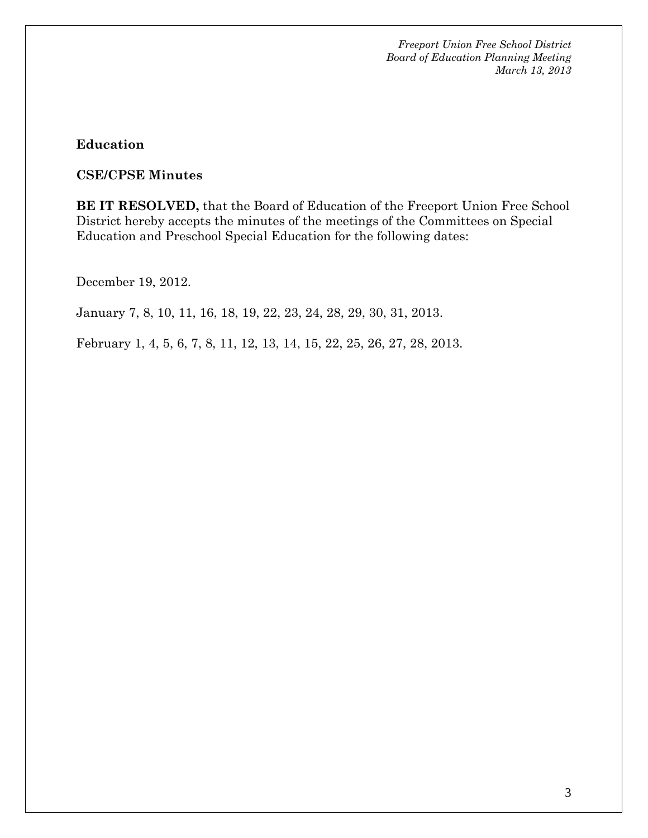#### **Education**

#### **CSE/CPSE Minutes**

**BE IT RESOLVED,** that the Board of Education of the Freeport Union Free School District hereby accepts the minutes of the meetings of the Committees on Special Education and Preschool Special Education for the following dates:

December 19, 2012.

January 7, 8, 10, 11, 16, 18, 19, 22, 23, 24, 28, 29, 30, 31, 2013.

February 1, 4, 5, 6, 7, 8, 11, 12, 13, 14, 15, 22, 25, 26, 27, 28, 2013.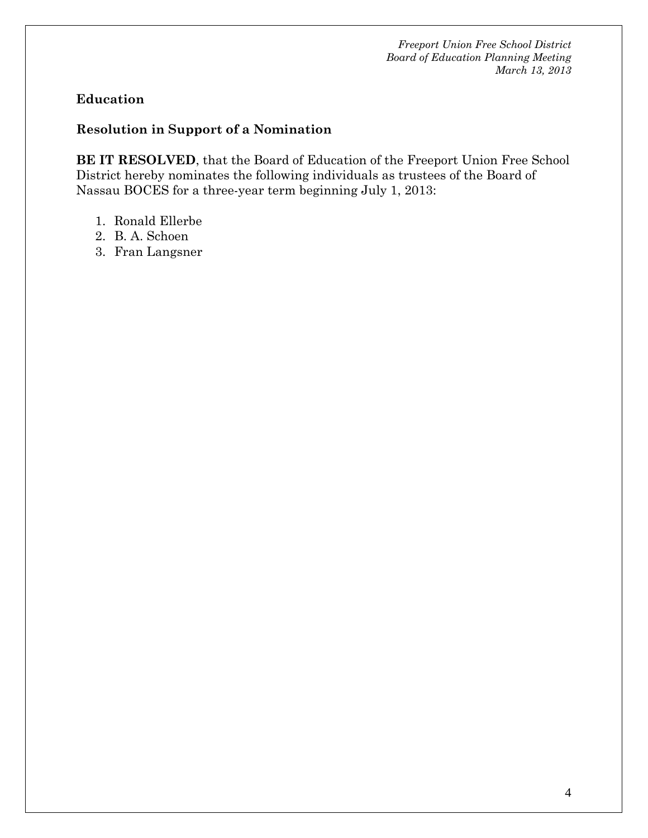## **Education**

## **Resolution in Support of a Nomination**

**BE IT RESOLVED**, that the Board of Education of the Freeport Union Free School District hereby nominates the following individuals as trustees of the Board of Nassau BOCES for a three-year term beginning July 1, 2013:

- 1. Ronald Ellerbe
- 2. B. A. Schoen
- 3. Fran Langsner